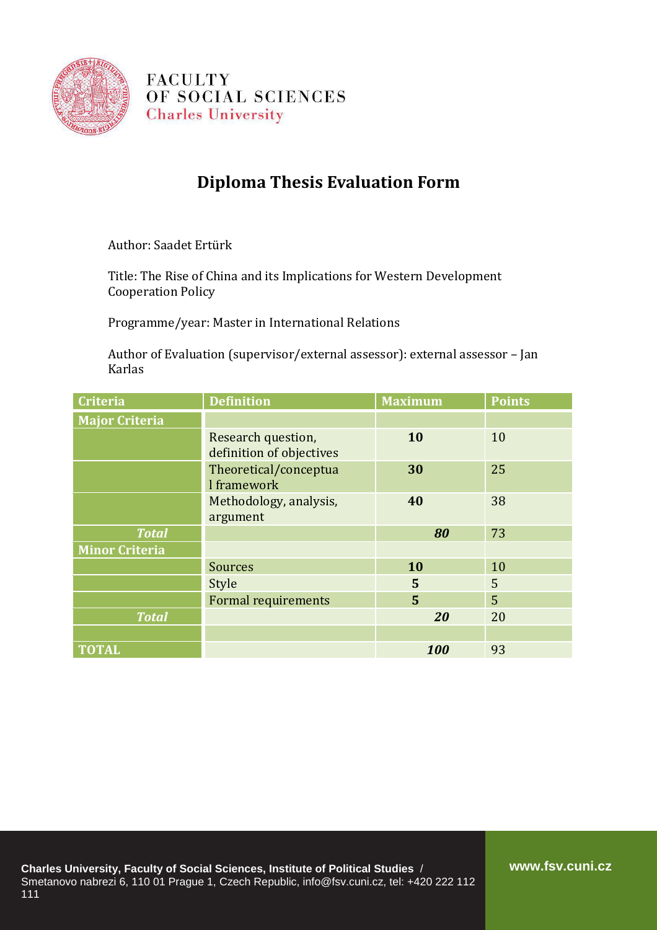

**FACULTY** OF SOCIAL SCIENCES **Charles University** 

## **Diploma Thesis Evaluation Form**

Author: Saadet Ertürk

Title: The Rise of China and its Implications for Western Development Cooperation Policy

Programme/year: Master in International Relations

Author of Evaluation (supervisor/external assessor): external assessor – Jan Karlas

| <b>Criteria</b>       | <b>Definition</b>                              | <b>Maximum</b> | <b>Points</b> |
|-----------------------|------------------------------------------------|----------------|---------------|
| <b>Major Criteria</b> |                                                |                |               |
|                       | Research question,<br>definition of objectives | 10             | 10            |
|                       | Theoretical/conceptua<br>I framework           | 30             | 25            |
|                       | Methodology, analysis,<br>argument             | 40             | 38            |
| <b>Total</b>          |                                                | 80             | 73            |
| <b>Minor Criteria</b> |                                                |                |               |
|                       | <b>Sources</b>                                 | 10             | 10            |
|                       | Style                                          | 5              | 5             |
|                       | <b>Formal requirements</b>                     | 5              | 5             |
| <b>Total</b>          |                                                | 20             | 20            |
|                       |                                                |                |               |
| <b>TOTAL</b>          |                                                | 100            | 93            |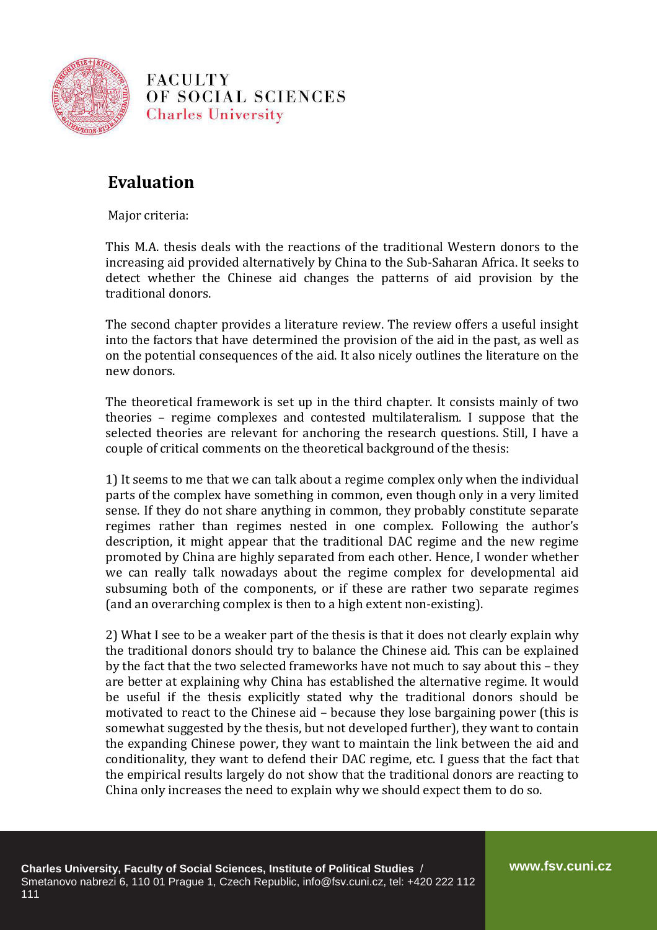

**FACULTY** OF SOCIAL SCIENCES **Charles University** 

## **Evaluation**

Major criteria:

This M.A. thesis deals with the reactions of the traditional Western donors to the increasing aid provided alternatively by China to the Sub-Saharan Africa. It seeks to detect whether the Chinese aid changes the patterns of aid provision by the traditional donors.

The second chapter provides a literature review. The review offers a useful insight into the factors that have determined the provision of the aid in the past, as well as on the potential consequences of the aid. It also nicely outlines the literature on the new donors.

The theoretical framework is set up in the third chapter. It consists mainly of two theories – regime complexes and contested multilateralism. I suppose that the selected theories are relevant for anchoring the research questions. Still, I have a couple of critical comments on the theoretical background of the thesis:

1) It seems to me that we can talk about a regime complex only when the individual parts of the complex have something in common, even though only in a very limited sense. If they do not share anything in common, they probably constitute separate regimes rather than regimes nested in one complex. Following the author's description, it might appear that the traditional DAC regime and the new regime promoted by China are highly separated from each other. Hence, I wonder whether we can really talk nowadays about the regime complex for developmental aid subsuming both of the components, or if these are rather two separate regimes (and an overarching complex is then to a high extent non-existing).

2) What I see to be a weaker part of the thesis is that it does not clearly explain why the traditional donors should try to balance the Chinese aid. This can be explained by the fact that the two selected frameworks have not much to say about this – they are better at explaining why China has established the alternative regime. It would be useful if the thesis explicitly stated why the traditional donors should be motivated to react to the Chinese aid – because they lose bargaining power (this is somewhat suggested by the thesis, but not developed further), they want to contain the expanding Chinese power, they want to maintain the link between the aid and conditionality, they want to defend their DAC regime, etc. I guess that the fact that the empirical results largely do not show that the traditional donors are reacting to China only increases the need to explain why we should expect them to do so.

**www.fsv.cuni.cz**